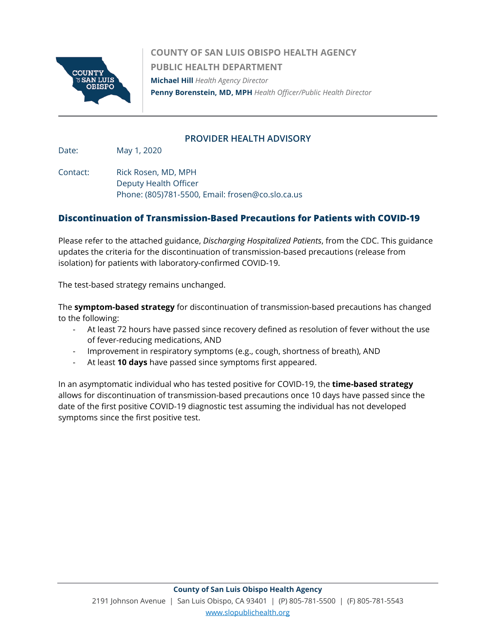

**COUNTY OF SAN LUIS OBISPO HEALTH AGENCY PUBLIC HEALTH DEPARTMENT Michael Hill** *Health Agency Director*  **Penny Borenstein, MD, MPH** *Health Officer/Public Health Director*

#### **PROVIDER HEALTH ADVISORY**

Date: May 1, 2020

Contact: Rick Rosen, MD, MPH Deputy Health Officer Phone: (805)781-5500, Email: frosen@co.slo.ca.us

#### **Discontinuation of Transmission-Based Precautions for Patients with COVID-19**

Please refer to the attached guidance, *Discharging Hospitalized Patients*, from the CDC. This guidance updates the criteria for the discontinuation of transmission-based precautions (release from isolation) for patients with laboratory-confirmed COVID-19.

The test-based strategy remains unchanged.

The **symptom-based strategy** for discontinuation of transmission-based precautions has changed to the following:

- At least 72 hours have passed since recovery defined as resolution of fever without the use of fever-reducing medications, AND
- Improvement in respiratory symptoms (e.g., cough, shortness of breath), AND
- At least **10 days** have passed since symptoms first appeared.

In an asymptomatic individual who has tested positive for COVID-19, the **time-based strategy**  allows for discontinuation of transmission-based precautions once 10 days have passed since the date of the first positive COVID-19 diagnostic test assuming the individual has not developed symptoms since the first positive test.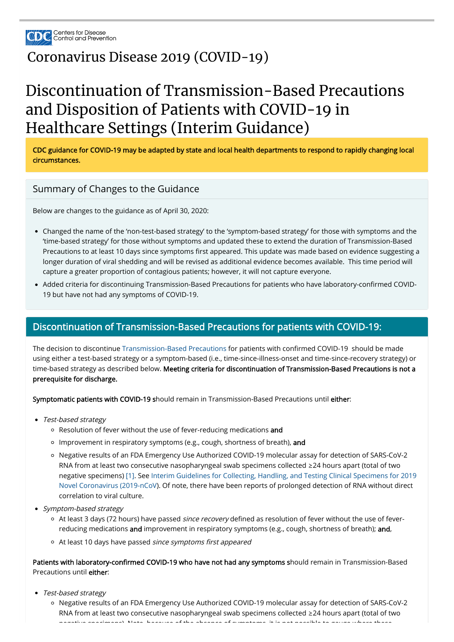

## [Coronavirus](https://www.cdc.gov/coronavirus/2019-nCoV/index.html) Disease 2019 (COVID-19)

# Discontinuation of Transmission-Based Precautions and Disposition of Patients with COVID-19 in Healthcare Settings (Interim Guidance)

CDC guidance for COVID-19 may be adapted by state and local health departments to respond to rapidly changing local circumstances.

#### Summary of Changes to the Guidance

Below are changes to the guidance as of April 30, 2020:

- Changed the name of the 'non-test-based strategy' to the 'symptom-based strategy' for those with symptoms and the 'time-based strategy' for those without symptoms and updated these to extend the duration of Transmission-Based Precautions to at least 10 days since symptoms first appeared. This update was made based on evidence suggesting a longer duration of viral shedding and will be revised as additional evidence becomes available. This time period will capture a greater proportion of contagious patients; however, it will not capture everyone.
- Added criteria for discontinuing Transmission-Based Precautions for patients who have laboratory-confirmed COVID-19 but have not had any symptoms of COVID-19.

The decision to discontinue [Transmission-Based Precautions](https://www.cdc.gov/coronavirus/2019-ncov/infection-control/control-recommendations.html) for patients with confirmed COVID-19 should be made using either a test-based strategy or a symptom-based (i.e., time-since-illness-onset and time-since-recovery strategy) or time-based strategy as described below. Meeting criteria for discontinuation of Transmission-Based Precautions is not a prerequisite for discharge.

- Test-based strategy
	- Resolution of fever without the use of fever-reducing medications and
	- o Improvement in respiratory symptoms (e.g., cough, shortness of breath), and
	- Negative results of an FDA Emergency Use Authorized COVID-19 molecular assay for detection of SARS-CoV-2 RNA from at least two consecutive nasopharyngeal swab specimens collected ≥24 hours apart (total of two [negative specimens\)](https://www.cdc.gov/coronavirus/2019-ncov/lab/guidelines-clinical-specimens.html) [\[1](https://www.cdc.gov/coronavirus/2019-ncov/healthcare-facilities/hcp-return-work.html#f1)[\]. See Interim Guidelines for Collecting, Handling, and Testing Clinical Specimens for 2019](https://www.cdc.gov/coronavirus/2019-ncov/lab/guidelines-clinical-specimens.html)

#### Discontinuation of Transmission-Based Precautions for patients with COVID-19:

Patients with laboratory-confirmed COVID-19 who have not had any symptoms should remain in Transmission-Based Precautions until either:

Symptomatic patients with COVID-19 should remain in Transmission-Based Precautions until either:

Novel Coronavirus (2019-nCoV). Of note, there have been reports of prolonged detection of RNA without direct correlation to viral culture.

- Symptom-based strategy
	- <sup>o</sup> At least 3 days (72 hours) have passed *since recovery* defined as resolution of fever without the use of feverreducing medications and improvement in respiratory symptoms (e.g., cough, shortness of breath); and,
	- At least 10 days have passed since symptoms first appeared

- Test-based strategy
	- Negative results of an FDA Emergency Use Authorized COVID-19 molecular assay for detection of SARS-CoV-2 RNA from at least two consecutive nasopharyngeal swab specimens collected ≥24 hours apart (total of two negative specimens) Note because of the absence of symptoms it is not possible to gauge where these